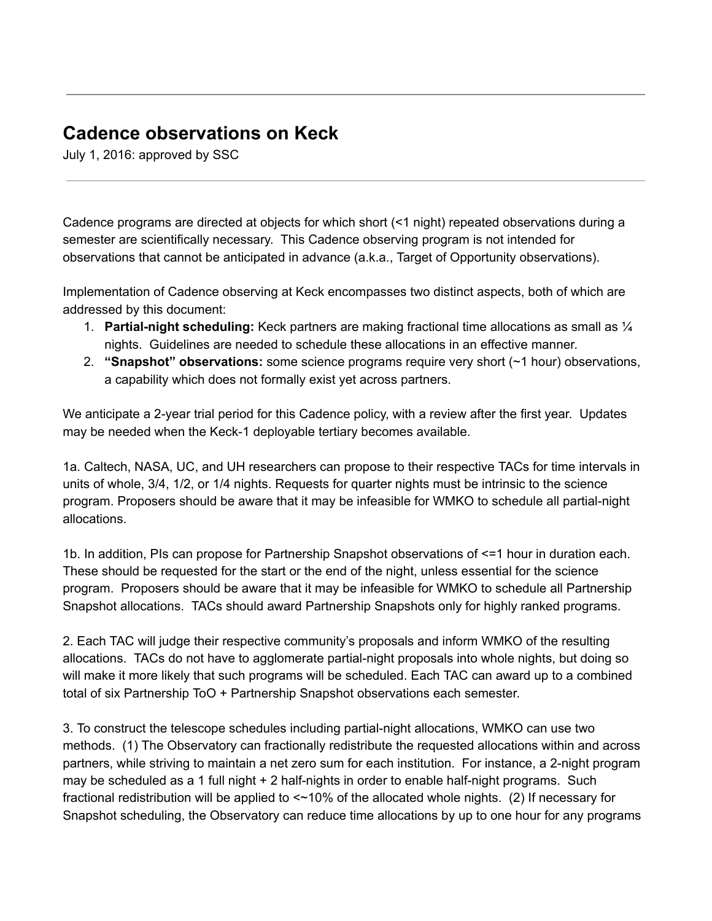## **Cadence observations on Keck**

July 1, 2016: approved by SSC

Cadence programs are directed at objects for which short (<1 night) repeated observations during a semester are scientifically necessary. This Cadence observing program is not intended for observations that cannot be anticipated in advance (a.k.a., Target of Opportunity observations).

Implementation of Cadence observing at Keck encompasses two distinct aspects, both of which are addressed by this document:

- 1. **Partial-night scheduling:** Keck partners are making fractional time allocations as small as  $\mathcal{V}_4$ nights. Guidelines are needed to schedule these allocations in an effective manner.
- 2. **"Snapshot" observations:** some science programs require very short (~1 hour) observations, a capability which does not formally exist yet across partners.

We anticipate a 2-year trial period for this Cadence policy, with a review after the first year. Updates may be needed when the Keck-1 deployable tertiary becomes available.

1a. Caltech, NASA, UC, and UH researchers can propose to their respective TACs for time intervals in units of whole, 3/4, 1/2, or 1/4 nights. Requests for quarter nights must be intrinsic to the science program. Proposers should be aware that it may be infeasible for WMKO to schedule all partial-night allocations.

1b. In addition, PIs can propose for Partnership Snapshot observations of <=1 hour in duration each. These should be requested for the start or the end of the night, unless essential for the science program. Proposers should be aware that it may be infeasible for WMKO to schedule all Partnership Snapshot allocations. TACs should award Partnership Snapshots only for highly ranked programs.

2. Each TAC will judge their respective community's proposals and inform WMKO of the resulting allocations. TACs do not have to agglomerate partial-night proposals into whole nights, but doing so will make it more likely that such programs will be scheduled. Each TAC can award up to a combined total of six Partnership ToO + Partnership Snapshot observations each semester.

3. To construct the telescope schedules including partial-night allocations, WMKO can use two methods. (1) The Observatory can fractionally redistribute the requested allocations within and across partners, while striving to maintain a net zero sum for each institution. For instance, a 2-night program may be scheduled as a 1 full night  $+ 2$  half-nights in order to enable half-night programs. Such fractional redistribution will be applied to <~10% of the allocated whole nights. (2) If necessary for Snapshot scheduling, the Observatory can reduce time allocations by up to one hour for any programs